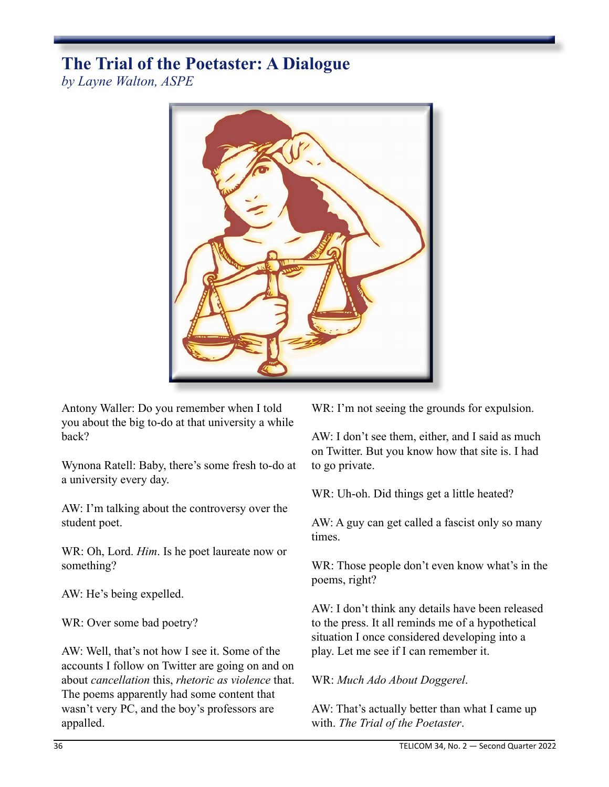## **The Trial of the Poetaster: A Dialogue**

*by Layne Walton, ASPE*



Antony Waller: Do you remember when I told you about the big to-do at that university a while back?

Wynona Ratell: Baby, there's some fresh to-do at a university every day.

AW: I'm talking about the controversy over the student poet.

WR: Oh, Lord. *Him*. Is he poet laureate now or something?

AW: He's being expelled.

WR: Over some bad poetry?

AW: Well, that's not how I see it. Some of the accounts I follow on Twitter are going on and on about *cancellation* this, *rhetoric as violence* that. The poems apparently had some content that wasn't very PC, and the boy's professors are appalled.

WR: I'm not seeing the grounds for expulsion.

AW: I don't see them, either, and I said as much on Twitter. But you know how that site is. I had to go private.

WR: Uh-oh. Did things get a little heated?

AW: A guy can get called a fascist only so many times.

WR: Those people don't even know what's in the poems, right?

AW: I don't think any details have been released to the press. It all reminds me of a hypothetical situation I once considered developing into a play. Let me see if I can remember it.

WR: *Much Ado About Doggerel*.

AW: That's actually better than what I came up with. *The Trial of the Poetaster*.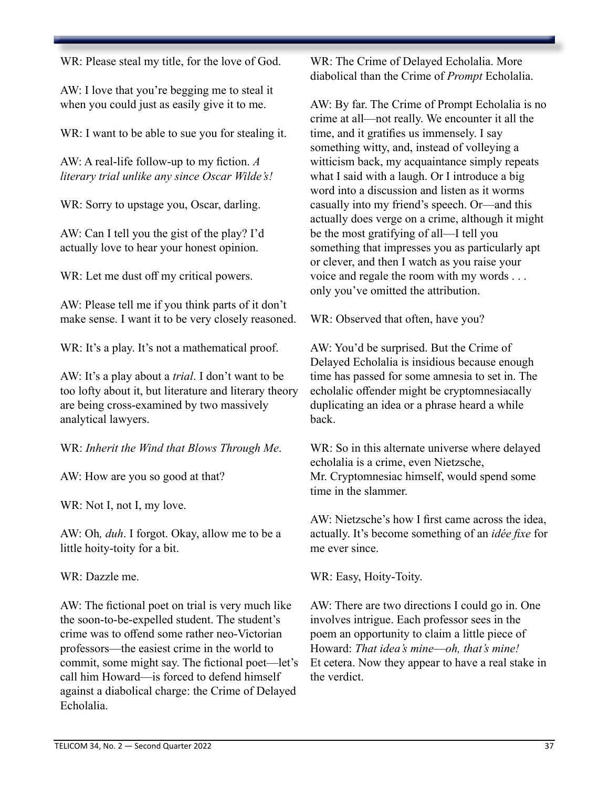WR: Please steal my title, for the love of God.

AW: I love that you're begging me to steal it when you could just as easily give it to me.

WR: I want to be able to sue you for stealing it.

AW: A real-life follow-up to my fiction. *A literary trial unlike any since Oscar Wilde's!*

WR: Sorry to upstage you, Oscar, darling.

AW: Can I tell you the gist of the play? I'd actually love to hear your honest opinion.

WR: Let me dust off my critical powers.

AW: Please tell me if you think parts of it don't make sense. I want it to be very closely reasoned.

WR: It's a play. It's not a mathematical proof.

AW: It's a play about a *trial*. I don't want to be too lofty about it, but literature and literary theory are being cross-examined by two massively analytical lawyers.

WR: *Inherit the Wind that Blows Through Me*.

AW: How are you so good at that?

WR: Not I, not I, my love.

AW: Oh*, duh*. I forgot. Okay, allow me to be a little hoity-toity for a bit.

WR: Dazzle me.

AW: The fictional poet on trial is very much like the soon-to-be-expelled student. The student's crime was to offend some rather neo-Victorian professors—the easiest crime in the world to commit, some might say. The fictional poet—let's call him Howard—is forced to defend himself against a diabolical charge: the Crime of Delayed Echolalia.

WR: The Crime of Delayed Echolalia. More diabolical than the Crime of *Prompt* Echolalia.

AW: By far. The Crime of Prompt Echolalia is no crime at all—not really. We encounter it all the time, and it gratifies us immensely. I say something witty, and, instead of volleying a witticism back, my acquaintance simply repeats what I said with a laugh. Or I introduce a big word into a discussion and listen as it worms casually into my friend's speech. Or—and this actually does verge on a crime, although it might be the most gratifying of all—I tell you something that impresses you as particularly apt or clever, and then I watch as you raise your voice and regale the room with my words . . . only you've omitted the attribution.

WR: Observed that often, have you?

AW: You'd be surprised. But the Crime of Delayed Echolalia is insidious because enough time has passed for some amnesia to set in. The echolalic offender might be cryptomnesiacally duplicating an idea or a phrase heard a while back.

WR: So in this alternate universe where delayed echolalia is a crime, even Nietzsche, Mr. Cryptomnesiac himself, would spend some time in the slammer.

AW: Nietzsche's how I first came across the idea, actually. It's become something of an *idée fixe* for me ever since.

WR: Easy, Hoity-Toity.

AW: There are two directions I could go in. One involves intrigue. Each professor sees in the poem an opportunity to claim a little piece of Howard: *That idea's mine*—*oh, that's mine!* Et cetera. Now they appear to have a real stake in the verdict.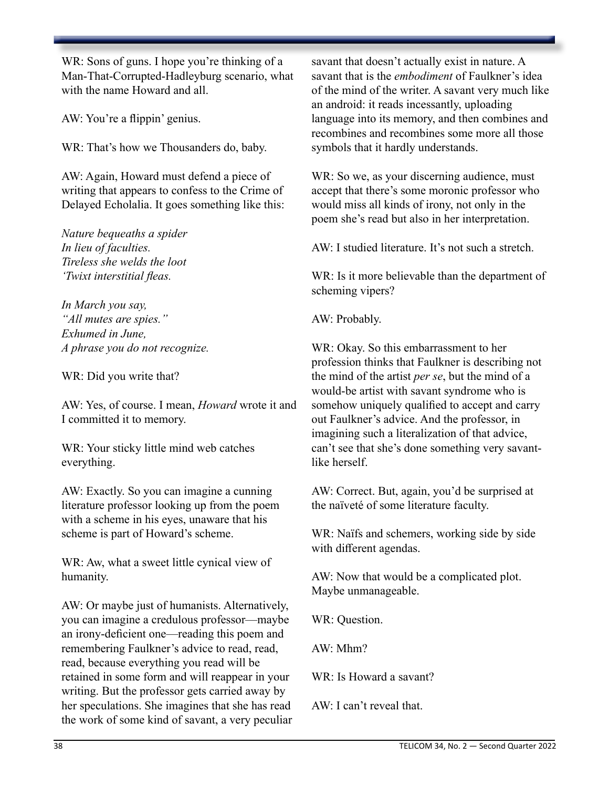WR: Sons of guns. I hope you're thinking of a Man-That-Corrupted-Hadleyburg scenario, what with the name Howard and all.

AW: You're a flippin' genius.

WR: That's how we Thousanders do, baby.

AW: Again, Howard must defend a piece of writing that appears to confess to the Crime of Delayed Echolalia. It goes something like this:

*Nature bequeaths a spider In lieu of faculties. Tireless she welds the loot 'Twixt interstitial fleas.*

*In March you say, "All mutes are spies." Exhumed in June, A phrase you do not recognize.*

WR: Did you write that?

AW: Yes, of course. I mean, *Howard* wrote it and I committed it to memory.

WR: Your sticky little mind web catches everything.

AW: Exactly. So you can imagine a cunning literature professor looking up from the poem with a scheme in his eyes, unaware that his scheme is part of Howard's scheme.

WR: Aw, what a sweet little cynical view of humanity.

AW: Or maybe just of humanists. Alternatively, you can imagine a credulous professor—maybe an irony-deficient one—reading this poem and remembering Faulkner's advice to read, read, read, because everything you read will be retained in some form and will reappear in your writing. But the professor gets carried away by her speculations. She imagines that she has read the work of some kind of savant, a very peculiar savant that doesn't actually exist in nature. A savant that is the *embodiment* of Faulkner's idea of the mind of the writer. A savant very much like an android: it reads incessantly, uploading language into its memory, and then combines and recombines and recombines some more all those symbols that it hardly understands.

WR: So we, as your discerning audience, must accept that there's some moronic professor who would miss all kinds of irony, not only in the poem she's read but also in her interpretation.

AW: I studied literature. It's not such a stretch.

WR: Is it more believable than the department of scheming vipers?

AW: Probably.

WR: Okay. So this embarrassment to her profession thinks that Faulkner is describing not the mind of the artist *per se*, but the mind of a would-be artist with savant syndrome who is somehow uniquely qualified to accept and carry out Faulkner's advice. And the professor, in imagining such a literalization of that advice, can't see that she's done something very savantlike herself.

AW: Correct. But, again, you'd be surprised at the naïveté of some literature faculty.

WR: Naïfs and schemers, working side by side with different agendas.

AW: Now that would be a complicated plot. Maybe unmanageable.

WR: Question.

AW: Mhm?

WR: Is Howard a savant?

AW: I can't reveal that.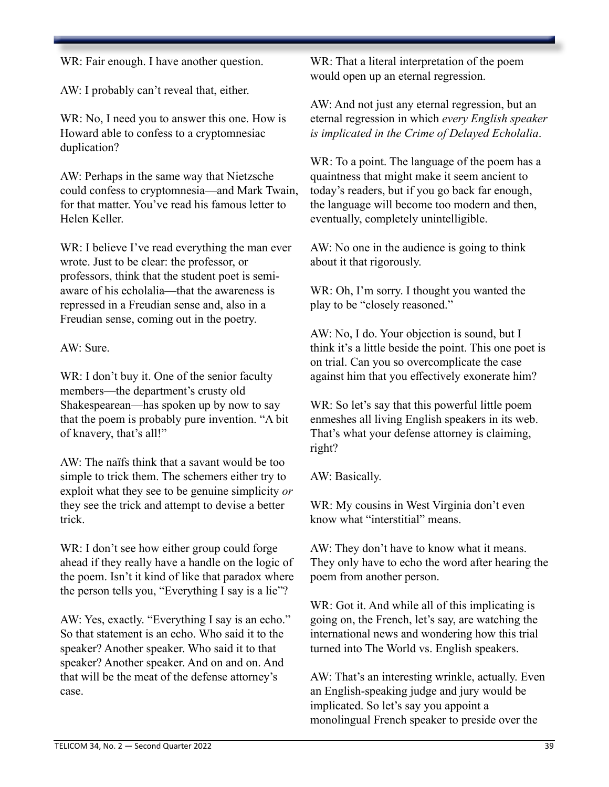WR: Fair enough. I have another question.

AW: I probably can't reveal that, either.

WR: No, I need you to answer this one. How is Howard able to confess to a cryptomnesiac duplication?

AW: Perhaps in the same way that Nietzsche could confess to cryptomnesia—and Mark Twain, for that matter. You've read his famous letter to Helen Keller.

WR: I believe I've read everything the man ever wrote. Just to be clear: the professor, or professors, think that the student poet is semiaware of his echolalia—that the awareness is repressed in a Freudian sense and, also in a Freudian sense, coming out in the poetry.

AW: Sure.

WR: I don't buy it. One of the senior faculty members—the department's crusty old Shakespearean—has spoken up by now to say that the poem is probably pure invention. "A bit of knavery, that's all!"

AW: The naïfs think that a savant would be too simple to trick them. The schemers either try to exploit what they see to be genuine simplicity *or* they see the trick and attempt to devise a better trick.

WR: I don't see how either group could forge ahead if they really have a handle on the logic of the poem. Isn't it kind of like that paradox where the person tells you, "Everything I say is a lie"?

AW: Yes, exactly. "Everything I say is an echo." So that statement is an echo. Who said it to the speaker? Another speaker. Who said it to that speaker? Another speaker. And on and on. And that will be the meat of the defense attorney's case.

WR: That a literal interpretation of the poem would open up an eternal regression.

AW: And not just any eternal regression, but an eternal regression in which *every English speaker is implicated in the Crime of Delayed Echolalia*.

WR: To a point. The language of the poem has a quaintness that might make it seem ancient to today's readers, but if you go back far enough, the language will become too modern and then, eventually, completely unintelligible.

AW: No one in the audience is going to think about it that rigorously.

WR: Oh, I'm sorry. I thought you wanted the play to be "closely reasoned."

AW: No, I do. Your objection is sound, but I think it's a little beside the point. This one poet is on trial. Can you so overcomplicate the case against him that you effectively exonerate him?

WR: So let's say that this powerful little poem enmeshes all living English speakers in its web. That's what your defense attorney is claiming, right?

AW: Basically.

WR: My cousins in West Virginia don't even know what "interstitial" means.

AW: They don't have to know what it means. They only have to echo the word after hearing the poem from another person.

WR: Got it. And while all of this implicating is going on, the French, let's say, are watching the international news and wondering how this trial turned into The World vs. English speakers.

AW: That's an interesting wrinkle, actually. Even an English-speaking judge and jury would be implicated. So let's say you appoint a monolingual French speaker to preside over the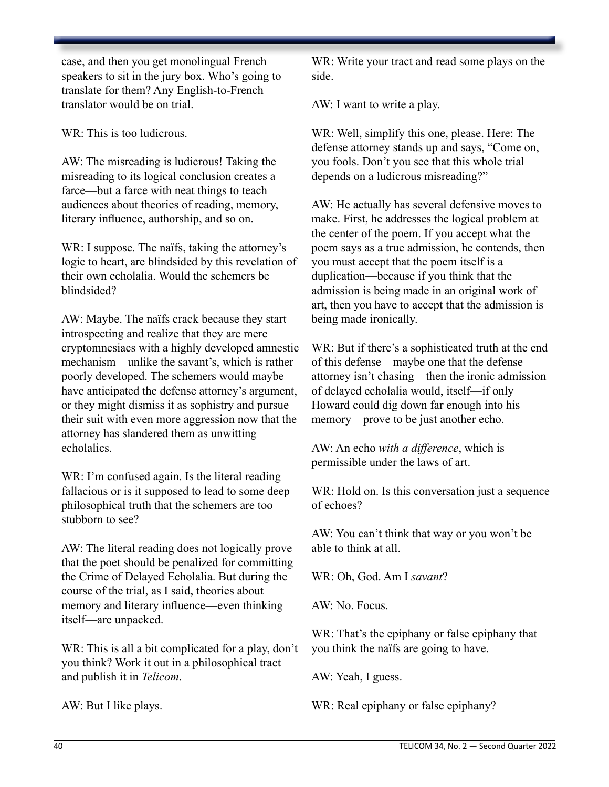case, and then you get monolingual French speakers to sit in the jury box. Who's going to translate for them? Any English-to-French translator would be on trial.

WR: This is too ludicrous.

AW: The misreading is ludicrous! Taking the misreading to its logical conclusion creates a farce—but a farce with neat things to teach audiences about theories of reading, memory, literary influence, authorship, and so on.

WR: I suppose. The naïfs, taking the attorney's logic to heart, are blindsided by this revelation of their own echolalia. Would the schemers be blindsided?

AW: Maybe. The naïfs crack because they start introspecting and realize that they are mere cryptomnesiacs with a highly developed amnestic mechanism—unlike the savant's, which is rather poorly developed. The schemers would maybe have anticipated the defense attorney's argument, or they might dismiss it as sophistry and pursue their suit with even more aggression now that the attorney has slandered them as unwitting echolalics.

WR: I'm confused again. Is the literal reading fallacious or is it supposed to lead to some deep philosophical truth that the schemers are too stubborn to see?

AW: The literal reading does not logically prove that the poet should be penalized for committing the Crime of Delayed Echolalia. But during the course of the trial, as I said, theories about memory and literary influence—even thinking itself—are unpacked.

WR: This is all a bit complicated for a play, don't you think? Work it out in a philosophical tract and publish it in *Telicom*.

AW: But I like plays.

WR: Write your tract and read some plays on the side.

AW: I want to write a play.

WR: Well, simplify this one, please. Here: The defense attorney stands up and says, "Come on, you fools. Don't you see that this whole trial depends on a ludicrous misreading?"

AW: He actually has several defensive moves to make. First, he addresses the logical problem at the center of the poem. If you accept what the poem says as a true admission, he contends, then you must accept that the poem itself is a duplication—because if you think that the admission is being made in an original work of art, then you have to accept that the admission is being made ironically.

WR: But if there's a sophisticated truth at the end of this defense—maybe one that the defense attorney isn't chasing—then the ironic admission of delayed echolalia would, itself—if only Howard could dig down far enough into his memory—prove to be just another echo.

AW: An echo *with a difference*, which is permissible under the laws of art.

WR: Hold on. Is this conversation just a sequence of echoes?

AW: You can't think that way or you won't be able to think at all.

WR: Oh, God. Am I *savant*?

AW: No. Focus.

WR: That's the epiphany or false epiphany that you think the naïfs are going to have.

AW: Yeah, I guess.

WR: Real epiphany or false epiphany?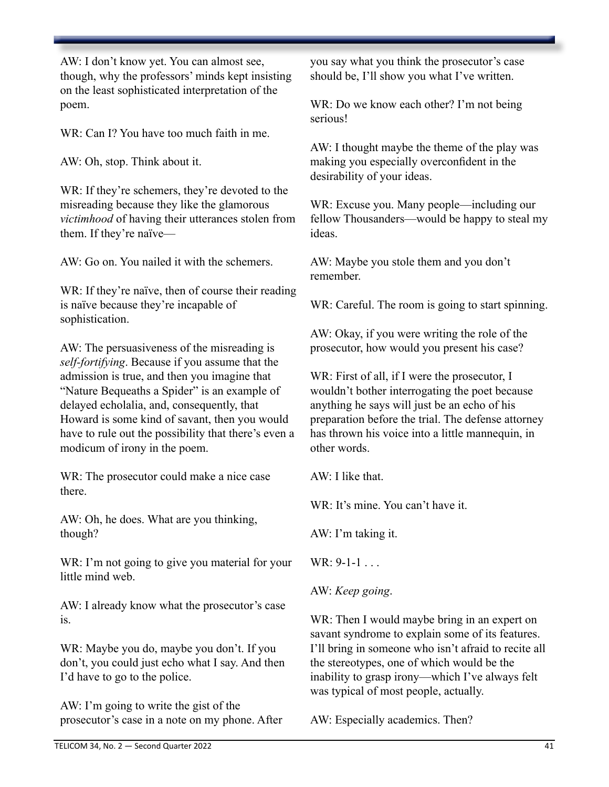AW: I don't know yet. You can almost see, though, why the professors' minds kept insisting on the least sophisticated interpretation of the poem.

WR: Can I? You have too much faith in me.

AW: Oh, stop. Think about it.

WR: If they're schemers, they're devoted to the misreading because they like the glamorous *victimhood* of having their utterances stolen from them. If they're naïve—

AW: Go on. You nailed it with the schemers.

WR: If they're naïve, then of course their reading is naïve because they're incapable of sophistication.

AW: The persuasiveness of the misreading is *self-fortifying*. Because if you assume that the admission is true, and then you imagine that "Nature Bequeaths a Spider" is an example of delayed echolalia, and, consequently, that Howard is some kind of savant, then you would have to rule out the possibility that there's even a modicum of irony in the poem.

WR: The prosecutor could make a nice case there.

AW: Oh, he does. What are you thinking, though?

WR: I'm not going to give you material for your little mind web.

AW: I already know what the prosecutor's case is.

WR: Maybe you do, maybe you don't. If you don't, you could just echo what I say. And then I'd have to go to the police.

AW: I'm going to write the gist of the prosecutor's case in a note on my phone. After you say what you think the prosecutor's case should be, I'll show you what I've written.

WR: Do we know each other? I'm not being serious!

AW: I thought maybe the theme of the play was making you especially overconfident in the desirability of your ideas.

WR: Excuse you. Many people—including our fellow Thousanders—would be happy to steal my ideas.

AW: Maybe you stole them and you don't remember.

WR: Careful. The room is going to start spinning.

AW: Okay, if you were writing the role of the prosecutor, how would you present his case?

WR: First of all, if I were the prosecutor, I wouldn't bother interrogating the poet because anything he says will just be an echo of his preparation before the trial. The defense attorney has thrown his voice into a little mannequin, in other words.

AW: I like that.

WR: It's mine. You can't have it.

AW: I'm taking it.

WR: 9-1-1 . . .

AW: *Keep going*.

WR: Then I would maybe bring in an expert on savant syndrome to explain some of its features. I'll bring in someone who isn't afraid to recite all the stereotypes, one of which would be the inability to grasp irony—which I've always felt was typical of most people, actually.

AW: Especially academics. Then?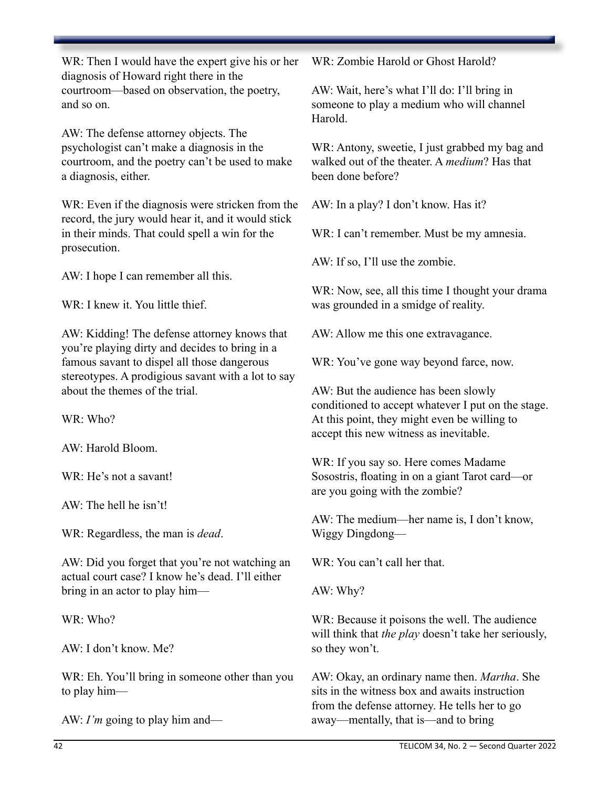WR: Then I would have the expert give his or her diagnosis of Howard right there in the courtroom—based on observation, the poetry, and so on.

AW: The defense attorney objects. The psychologist can't make a diagnosis in the courtroom, and the poetry can't be used to make a diagnosis, either.

WR: Even if the diagnosis were stricken from the record, the jury would hear it, and it would stick in their minds. That could spell a win for the prosecution.

AW: I hope I can remember all this.

WR: I knew it. You little thief.

AW: Kidding! The defense attorney knows that you're playing dirty and decides to bring in a famous savant to dispel all those dangerous stereotypes. A prodigious savant with a lot to say about the themes of the trial.

WR: Who?

AW: Harold Bloom.

WR: He's not a savant!

AW: The hell he isn't!

WR: Regardless, the man is *dead*.

AW: Did you forget that you're not watching an actual court case? I know he's dead. I'll either bring in an actor to play him—

WR: Who?

AW: I don't know. Me?

WR: Eh. You'll bring in someone other than you to play him—

AW: *I'm* going to play him and—

WR: Zombie Harold or Ghost Harold?

AW: Wait, here's what I'll do: I'll bring in someone to play a medium who will channel Harold.

WR: Antony, sweetie, I just grabbed my bag and walked out of the theater. A *medium*? Has that been done before?

AW: In a play? I don't know. Has it?

WR: I can't remember. Must be my amnesia.

AW: If so, I'll use the zombie.

WR: Now, see, all this time I thought your drama was grounded in a smidge of reality.

AW: Allow me this one extravagance.

WR: You've gone way beyond farce, now.

AW: But the audience has been slowly conditioned to accept whatever I put on the stage. At this point, they might even be willing to accept this new witness as inevitable.

WR: If you say so. Here comes Madame Sosostris, floating in on a giant Tarot card—or are you going with the zombie?

AW: The medium—her name is, I don't know, Wiggy Dingdong—

WR: You can't call her that.

AW: Why?

WR: Because it poisons the well. The audience will think that *the play* doesn't take her seriously, so they won't.

AW: Okay, an ordinary name then. *Martha*. She sits in the witness box and awaits instruction from the defense attorney. He tells her to go away—mentally, that is—and to bring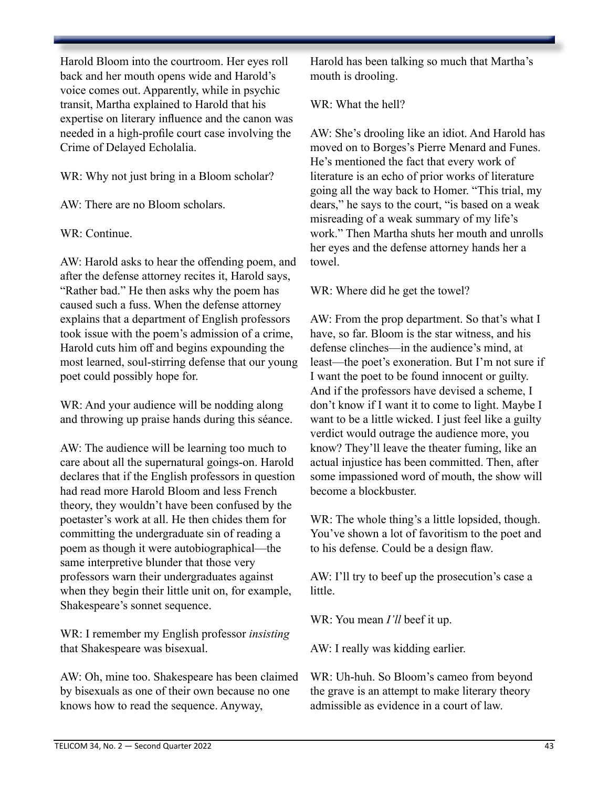Harold Bloom into the courtroom. Her eyes roll back and her mouth opens wide and Harold's voice comes out. Apparently, while in psychic transit, Martha explained to Harold that his expertise on literary influence and the canon was needed in a high-profile court case involving the Crime of Delayed Echolalia.

WR: Why not just bring in a Bloom scholar?

AW: There are no Bloom scholars.

WR: Continue.

AW: Harold asks to hear the offending poem, and after the defense attorney recites it, Harold says, "Rather bad." He then asks why the poem has caused such a fuss. When the defense attorney explains that a department of English professors took issue with the poem's admission of a crime, Harold cuts him off and begins expounding the most learned, soul-stirring defense that our young poet could possibly hope for.

WR: And your audience will be nodding along and throwing up praise hands during this séance.

AW: The audience will be learning too much to care about all the supernatural goings-on. Harold declares that if the English professors in question had read more Harold Bloom and less French theory, they wouldn't have been confused by the poetaster's work at all. He then chides them for committing the undergraduate sin of reading a poem as though it were autobiographical—the same interpretive blunder that those very professors warn their undergraduates against when they begin their little unit on, for example, Shakespeare's sonnet sequence.

WR: I remember my English professor *insisting* that Shakespeare was bisexual.

AW: Oh, mine too. Shakespeare has been claimed by bisexuals as one of their own because no one knows how to read the sequence. Anyway,

Harold has been talking so much that Martha's mouth is drooling.

WR: What the hell?

AW: She's drooling like an idiot. And Harold has moved on to Borges's Pierre Menard and Funes. He's mentioned the fact that every work of literature is an echo of prior works of literature going all the way back to Homer. "This trial, my dears," he says to the court, "is based on a weak misreading of a weak summary of my life's work." Then Martha shuts her mouth and unrolls her eyes and the defense attorney hands her a towel.

WR: Where did he get the towel?

AW: From the prop department. So that's what I have, so far. Bloom is the star witness, and his defense clinches—in the audience's mind, at least—the poet's exoneration. But I'm not sure if I want the poet to be found innocent or guilty. And if the professors have devised a scheme, I don't know if I want it to come to light. Maybe I want to be a little wicked. I just feel like a guilty verdict would outrage the audience more, you know? They'll leave the theater fuming, like an actual injustice has been committed. Then, after some impassioned word of mouth, the show will become a blockbuster.

WR: The whole thing's a little lopsided, though. You've shown a lot of favoritism to the poet and to his defense. Could be a design flaw.

AW: I'll try to beef up the prosecution's case a little.

WR: You mean *I'll* beef it up.

AW: I really was kidding earlier.

WR: Uh-huh. So Bloom's cameo from beyond the grave is an attempt to make literary theory admissible as evidence in a court of law.